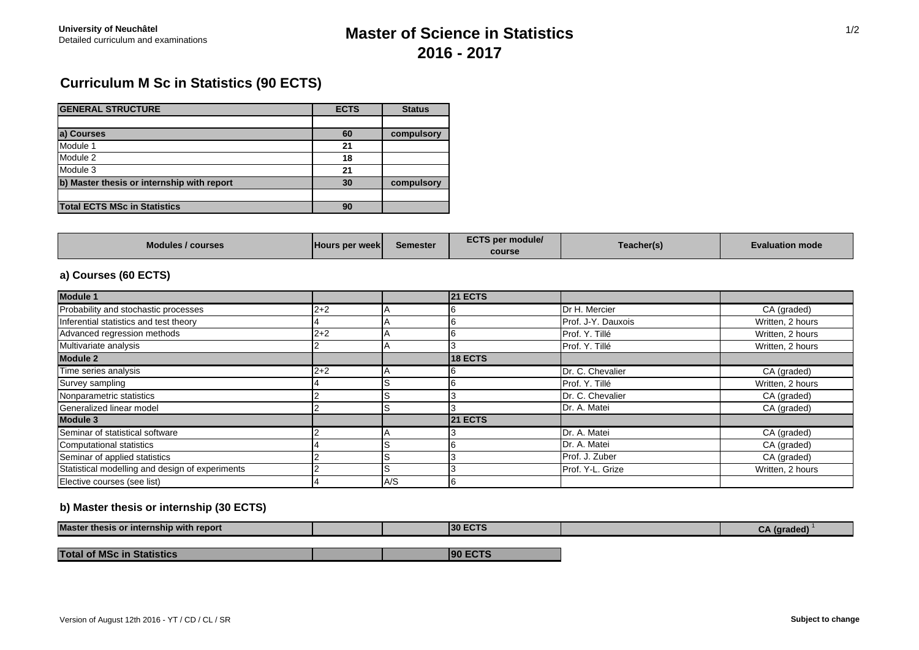# Detailed curriculum and examinations **Master of Science in Statistics 2016 - 2017**

# **Curriculum M Sc in Statistics (90 ECTS)**

| <b>GENERAL STRUCTURE</b>                   | <b>ECTS</b> | <b>Status</b> |
|--------------------------------------------|-------------|---------------|
|                                            |             |               |
| a) Courses                                 | 60          | compulsory    |
| Module 1                                   | 21          |               |
| Module 2                                   | 18          |               |
| Module 3                                   | 21          |               |
| b) Master thesis or internship with report | 30          | compulsory    |
|                                            |             |               |
| <b>Total ECTS MSc in Statistics</b>        | 90          |               |

| <b>Modules / courses</b> | <b>Hours per weekl</b> | <b>Semester</b> | <b>ECTS per module/</b><br>course | Teacher(s) | Evaluation mode |
|--------------------------|------------------------|-----------------|-----------------------------------|------------|-----------------|
|--------------------------|------------------------|-----------------|-----------------------------------|------------|-----------------|

## **a) Courses (60 ECTS)**

| <b>Module 1</b>                                 |         |     | <b>21 ECTS</b> |                    |                  |
|-------------------------------------------------|---------|-----|----------------|--------------------|------------------|
| Probability and stochastic processes            | $2 + 2$ |     |                | Dr H. Mercier      | CA (graded)      |
| Inferential statistics and test theory          |         |     |                | Prof. J-Y. Dauxois | Written, 2 hours |
| Advanced regression methods                     | $2 + 2$ |     | ıb             | Prof. Y. Tillé     | Written, 2 hours |
| Multivariate analysis                           |         |     |                | Prof. Y. Tillé     | Written, 2 hours |
| <b>Module 2</b>                                 |         |     | <b>18 ECTS</b> |                    |                  |
| Time series analysis                            | $2 + 2$ |     |                | Dr. C. Chevalier   | CA (graded)      |
| Survey sampling                                 |         |     |                | Prof. Y. Tillé     | Written, 2 hours |
| Nonparametric statistics                        |         |     |                | Dr. C. Chevalier   | CA (graded)      |
| Generalized linear model                        |         |     |                | Dr. A. Matei       | CA (graded)      |
| Module 3                                        |         |     | <b>21 ECTS</b> |                    |                  |
| Seminar of statistical software                 |         |     |                | Dr. A. Matei       | CA (graded)      |
| Computational statistics                        |         |     |                | Dr. A. Matei       | CA (graded)      |
| Seminar of applied statistics                   |         |     |                | Prof. J. Zuber     | CA (graded)      |
| Statistical modelling and design of experiments |         |     |                | Prof. Y-L. Grize   | Written, 2 hours |
| Elective courses (see list)                     |         | A/S |                |                    |                  |

### **b) Master thesis or internship (30 ECTS)**

| <b>Master</b><br>r thesis or internship with report |  | <b>30 ECTS</b> |  |
|-----------------------------------------------------|--|----------------|--|
|                                                     |  |                |  |
| <b>Total of MSc in Statistics</b>                   |  | n              |  |